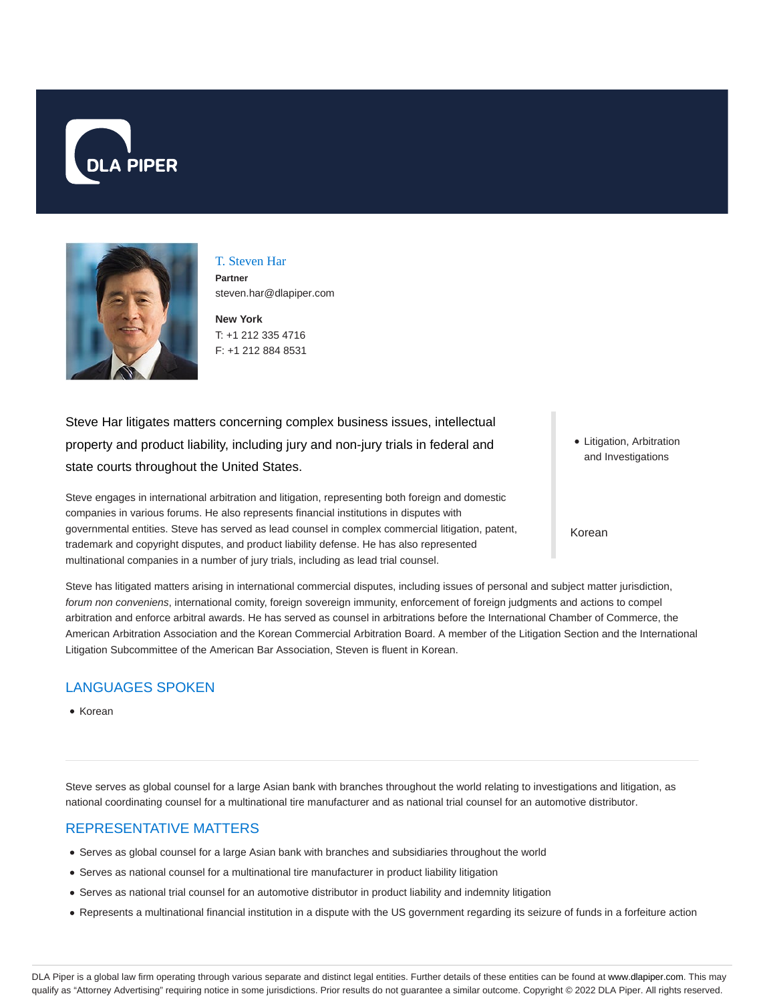



T. Steven Har **Partner** steven.har@dlapiper.com

**New York** T: +1 212 335 4716 F: +1 212 884 8531

Steve Har litigates matters concerning complex business issues, intellectual property and product liability, including jury and non-jury trials in federal and state courts throughout the United States.

Steve engages in international arbitration and litigation, representing both foreign and domestic companies in various forums. He also represents financial institutions in disputes with governmental entities. Steve has served as lead counsel in complex commercial litigation, patent, trademark and copyright disputes, and product liability defense. He has also represented multinational companies in a number of jury trials, including as lead trial counsel.

Litigation, Arbitration and Investigations

Korean

Steve has litigated matters arising in international commercial disputes, including issues of personal and subject matter jurisdiction, forum non conveniens, international comity, foreign sovereign immunity, enforcement of foreign judgments and actions to compel arbitration and enforce arbitral awards. He has served as counsel in arbitrations before the International Chamber of Commerce, the American Arbitration Association and the Korean Commercial Arbitration Board. A member of the Litigation Section and the International Litigation Subcommittee of the American Bar Association, Steven is fluent in Korean.

## LANGUAGES SPOKEN

• Korean

Steve serves as global counsel for a large Asian bank with branches throughout the world relating to investigations and litigation, as national coordinating counsel for a multinational tire manufacturer and as national trial counsel for an automotive distributor.

#### REPRESENTATIVE MATTERS

- Serves as global counsel for a large Asian bank with branches and subsidiaries throughout the world
- Serves as national counsel for a multinational tire manufacturer in product liability litigation
- Serves as national trial counsel for an automotive distributor in product liability and indemnity litigation
- Represents a multinational financial institution in a dispute with the US government regarding its seizure of funds in a forfeiture action

DLA Piper is a global law firm operating through various separate and distinct legal entities. Further details of these entities can be found at www.dlapiper.com. This may qualify as "Attorney Advertising" requiring notice in some jurisdictions. Prior results do not guarantee a similar outcome. Copyright @ 2022 DLA Piper. All rights reserved.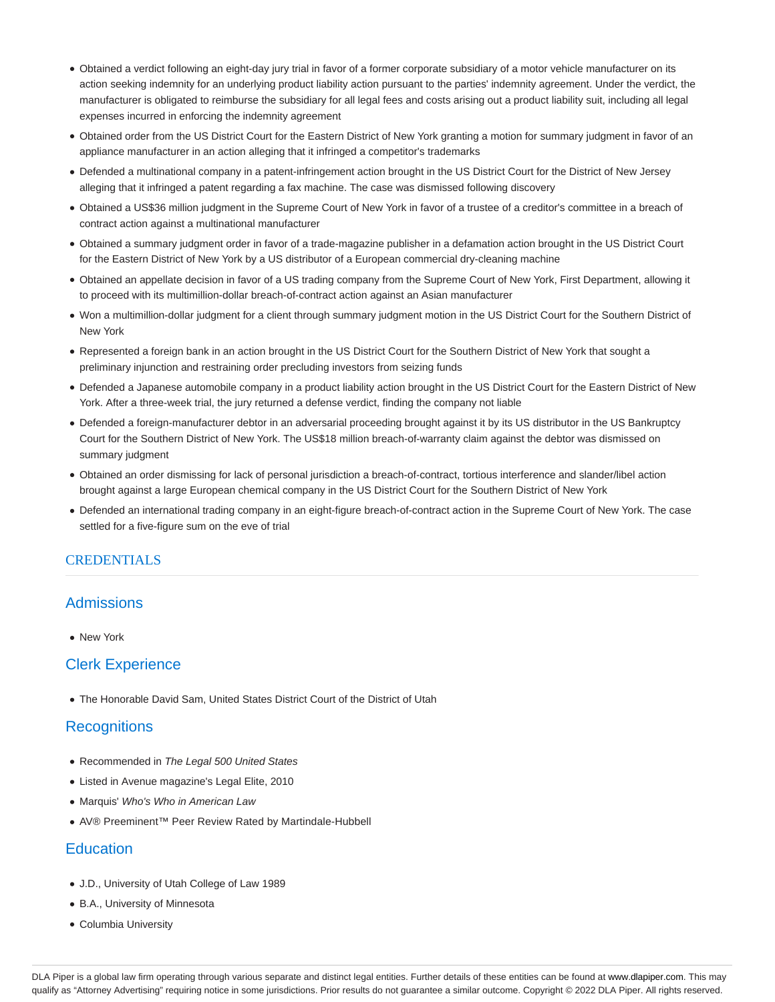- Obtained a verdict following an eight-day jury trial in favor of a former corporate subsidiary of a motor vehicle manufacturer on its action seeking indemnity for an underlying product liability action pursuant to the parties' indemnity agreement. Under the verdict, the manufacturer is obligated to reimburse the subsidiary for all legal fees and costs arising out a product liability suit, including all legal expenses incurred in enforcing the indemnity agreement
- Obtained order from the US District Court for the Eastern District of New York granting a motion for summary judgment in favor of an appliance manufacturer in an action alleging that it infringed a competitor's trademarks
- Defended a multinational company in a patent-infringement action brought in the US District Court for the District of New Jersey alleging that it infringed a patent regarding a fax machine. The case was dismissed following discovery
- Obtained a US\$36 million judgment in the Supreme Court of New York in favor of a trustee of a creditor's committee in a breach of contract action against a multinational manufacturer
- Obtained a summary judgment order in favor of a trade-magazine publisher in a defamation action brought in the US District Court for the Eastern District of New York by a US distributor of a European commercial dry-cleaning machine
- Obtained an appellate decision in favor of a US trading company from the Supreme Court of New York, First Department, allowing it to proceed with its multimillion-dollar breach-of-contract action against an Asian manufacturer
- Won a multimillion-dollar judgment for a client through summary judgment motion in the US District Court for the Southern District of New York
- Represented a foreign bank in an action brought in the US District Court for the Southern District of New York that sought a preliminary injunction and restraining order precluding investors from seizing funds
- Defended a Japanese automobile company in a product liability action brought in the US District Court for the Eastern District of New York. After a three-week trial, the jury returned a defense verdict, finding the company not liable
- Defended a foreign-manufacturer debtor in an adversarial proceeding brought against it by its US distributor in the US Bankruptcy Court for the Southern District of New York. The US\$18 million breach-of-warranty claim against the debtor was dismissed on summary judgment
- Obtained an order dismissing for lack of personal jurisdiction a breach-of-contract, tortious interference and slander/libel action brought against a large European chemical company in the US District Court for the Southern District of New York
- Defended an international trading company in an eight-figure breach-of-contract action in the Supreme Court of New York. The case settled for a five-figure sum on the eve of trial

#### CREDENTIALS

#### **Admissions**

• New York

#### Clerk Experience

The Honorable David Sam, United States District Court of the District of Utah

### **Recognitions**

- Recommended in The Legal 500 United States
- Listed in Avenue magazine's Legal Elite, 2010
- Marquis' Who's Who in American Law
- AV® Preeminent™ Peer Review Rated by Martindale-Hubbell

#### **Education**

- J.D., University of Utah College of Law 1989
- B.A., University of Minnesota
- Columbia University